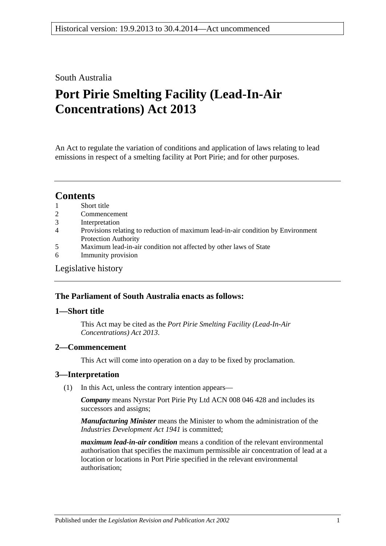#### South Australia

# **Port Pirie Smelting Facility (Lead-In-Air Concentrations) Act 2013**

An Act to regulate the variation of conditions and application of laws relating to lead emissions in respect of a smelting facility at Port Pirie; and for other purposes.

### **Contents**

- 1 [Short title](#page-0-0)
- 2 [Commencement](#page-0-1)
- 3 [Interpretation](#page-0-2)
- 4 [Provisions relating to reduction of maximum lead-in-air condition by Environment](#page-1-0)  [Protection Authority](#page-1-0)
- 5 [Maximum lead-in-air condition not affected](#page-2-0) by other laws of State
- 6 [Immunity provision](#page-3-0)

#### [Legislative history](#page-4-0)

#### **The Parliament of South Australia enacts as follows:**

#### <span id="page-0-0"></span>**1—Short title**

This Act may be cited as the *Port Pirie Smelting Facility (Lead-In-Air Concentrations) Act 2013*.

#### <span id="page-0-1"></span>**2—Commencement**

This Act will come into operation on a day to be fixed by proclamation.

#### <span id="page-0-2"></span>**3—Interpretation**

(1) In this Act, unless the contrary intention appears—

*Company* means Nyrstar Port Pirie Pty Ltd ACN 008 046 428 and includes its successors and assigns;

*Manufacturing Minister* means the Minister to whom the administration of the *[Industries Development Act](http://www.legislation.sa.gov.au/index.aspx?action=legref&type=act&legtitle=Industries%20Development%20Act%201941) 1941* is committed;

*maximum lead-in-air condition* means a condition of the relevant environmental authorisation that specifies the maximum permissible air concentration of lead at a location or locations in Port Pirie specified in the relevant environmental authorisation;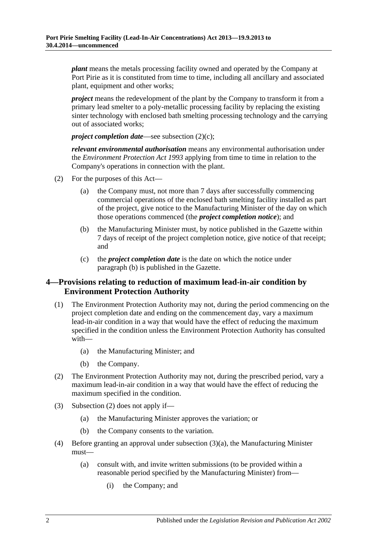*plant* means the metals processing facility owned and operated by the Company at Port Pirie as it is constituted from time to time, including all ancillary and associated plant, equipment and other works;

*project* means the redevelopment of the plant by the Company to transform it from a primary lead smelter to a poly-metallic processing facility by replacing the existing sinter technology with enclosed bath smelting processing technology and the carrying out of associated works;

*project completion date—see [subsection](#page-1-1) (2)(c);* 

*relevant environmental authorisation* means any environmental authorisation under the *[Environment Protection Act](http://www.legislation.sa.gov.au/index.aspx?action=legref&type=act&legtitle=Environment%20Protection%20Act%201993) 1993* applying from time to time in relation to the Company's operations in connection with the plant.

- <span id="page-1-2"></span>(2) For the purposes of this Act—
	- (a) the Company must, not more than 7 days after successfully commencing commercial operations of the enclosed bath smelting facility installed as part of the project, give notice to the Manufacturing Minister of the day on which those operations commenced (the *project completion notice*); and
	- (b) the Manufacturing Minister must, by notice published in the Gazette within 7 days of receipt of the project completion notice, give notice of that receipt; and
	- (c) the *project completion date* is the date on which the notice under [paragraph](#page-1-2) (b) is published in the Gazette.

#### <span id="page-1-1"></span><span id="page-1-0"></span>**4—Provisions relating to reduction of maximum lead-in-air condition by Environment Protection Authority**

- (1) The Environment Protection Authority may not, during the period commencing on the project completion date and ending on the commencement day, vary a maximum lead-in-air condition in a way that would have the effect of reducing the maximum specified in the condition unless the Environment Protection Authority has consulted with—
	- (a) the Manufacturing Minister; and
	- (b) the Company.
- <span id="page-1-3"></span>(2) The Environment Protection Authority may not, during the prescribed period, vary a maximum lead-in-air condition in a way that would have the effect of reducing the maximum specified in the condition.
- <span id="page-1-4"></span>(3) [Subsection](#page-1-3) (2) does not apply if—
	- (a) the Manufacturing Minister approves the variation; or
	- (b) the Company consents to the variation.
- <span id="page-1-5"></span>(4) Before granting an approval under [subsection](#page-1-4) (3)(a), the Manufacturing Minister must—
	- (a) consult with, and invite written submissions (to be provided within a reasonable period specified by the Manufacturing Minister) from—
		- (i) the Company; and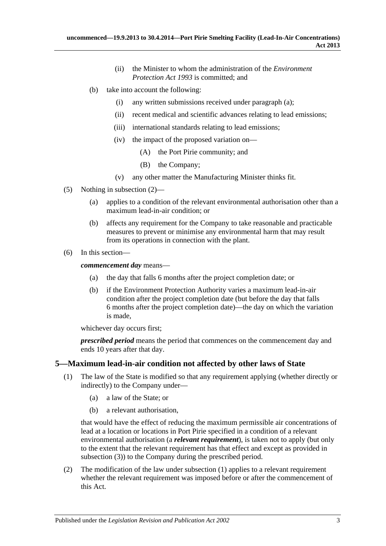- (ii) the Minister to whom the administration of the *[Environment](http://www.legislation.sa.gov.au/index.aspx?action=legref&type=act&legtitle=Environment%20Protection%20Act%201993)  [Protection Act](http://www.legislation.sa.gov.au/index.aspx?action=legref&type=act&legtitle=Environment%20Protection%20Act%201993) 1993* is committed; and
- (b) take into account the following:
	- (i) any written submissions received under [paragraph](#page-1-5) (a);
	- (ii) recent medical and scientific advances relating to lead emissions;
	- (iii) international standards relating to lead emissions;
	- (iv) the impact of the proposed variation on—
		- (A) the Port Pirie community; and
		- (B) the Company;
	- (v) any other matter the Manufacturing Minister thinks fit.
- (5) Nothing in [subsection](#page-1-3) (2)—
	- (a) applies to a condition of the relevant environmental authorisation other than a maximum lead-in-air condition; or
	- (b) affects any requirement for the Company to take reasonable and practicable measures to prevent or minimise any environmental harm that may result from its operations in connection with the plant.
- (6) In this section—

*commencement day* means—

- (a) the day that falls 6 months after the project completion date; or
- (b) if the Environment Protection Authority varies a maximum lead-in-air condition after the project completion date (but before the day that falls 6 months after the project completion date)—the day on which the variation is made,

whichever day occurs first;

*prescribed period* means the period that commences on the commencement day and ends 10 years after that day.

#### <span id="page-2-1"></span><span id="page-2-0"></span>**5—Maximum lead-in-air condition not affected by other laws of State**

- (1) The law of the State is modified so that any requirement applying (whether directly or indirectly) to the Company under—
	- (a) a law of the State; or
	- (b) a relevant authorisation,

that would have the effect of reducing the maximum permissible air concentrations of lead at a location or locations in Port Pirie specified in a condition of a relevant environmental authorisation (a *relevant requirement*), is taken not to apply (but only to the extent that the relevant requirement has that effect and except as provided in [subsection](#page-3-1) (3)) to the Company during the prescribed period.

(2) The modification of the law under [subsection](#page-2-1) (1) applies to a relevant requirement whether the relevant requirement was imposed before or after the commencement of this Act.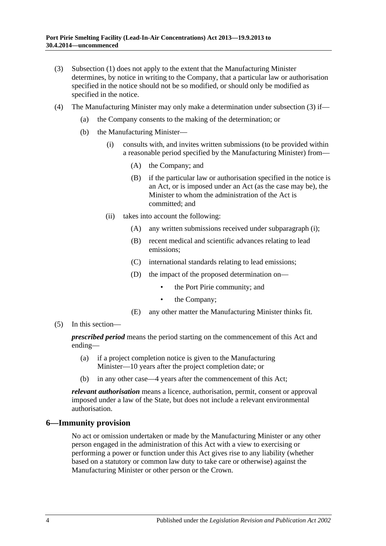- <span id="page-3-1"></span>(3) [Subsection](#page-2-1) (1) does not apply to the extent that the Manufacturing Minister determines, by notice in writing to the Company, that a particular law or authorisation specified in the notice should not be so modified, or should only be modified as specified in the notice.
- <span id="page-3-2"></span>(4) The Manufacturing Minister may only make a determination under [subsection](#page-3-1) (3) if—
	- (a) the Company consents to the making of the determination; or
	- (b) the Manufacturing Minister—
		- (i) consults with, and invites written submissions (to be provided within a reasonable period specified by the Manufacturing Minister) from—
			- (A) the Company; and
			- (B) if the particular law or authorisation specified in the notice is an Act, or is imposed under an Act (as the case may be), the Minister to whom the administration of the Act is committed; and
		- (ii) takes into account the following:
			- (A) any written submissions received under [subparagraph](#page-3-2) (i);
			- (B) recent medical and scientific advances relating to lead emissions;
			- (C) international standards relating to lead emissions;
			- (D) the impact of the proposed determination on
				- the Port Pirie community; and
				- the Company;
			- (E) any other matter the Manufacturing Minister thinks fit.
- (5) In this section—

*prescribed period* means the period starting on the commencement of this Act and ending—

- (a) if a project completion notice is given to the Manufacturing Minister—10 years after the project completion date; or
- (b) in any other case—4 years after the commencement of this Act;

*relevant authorisation* means a licence, authorisation, permit, consent or approval imposed under a law of the State, but does not include a relevant environmental authorisation.

#### <span id="page-3-0"></span>**6—Immunity provision**

No act or omission undertaken or made by the Manufacturing Minister or any other person engaged in the administration of this Act with a view to exercising or performing a power or function under this Act gives rise to any liability (whether based on a statutory or common law duty to take care or otherwise) against the Manufacturing Minister or other person or the Crown.